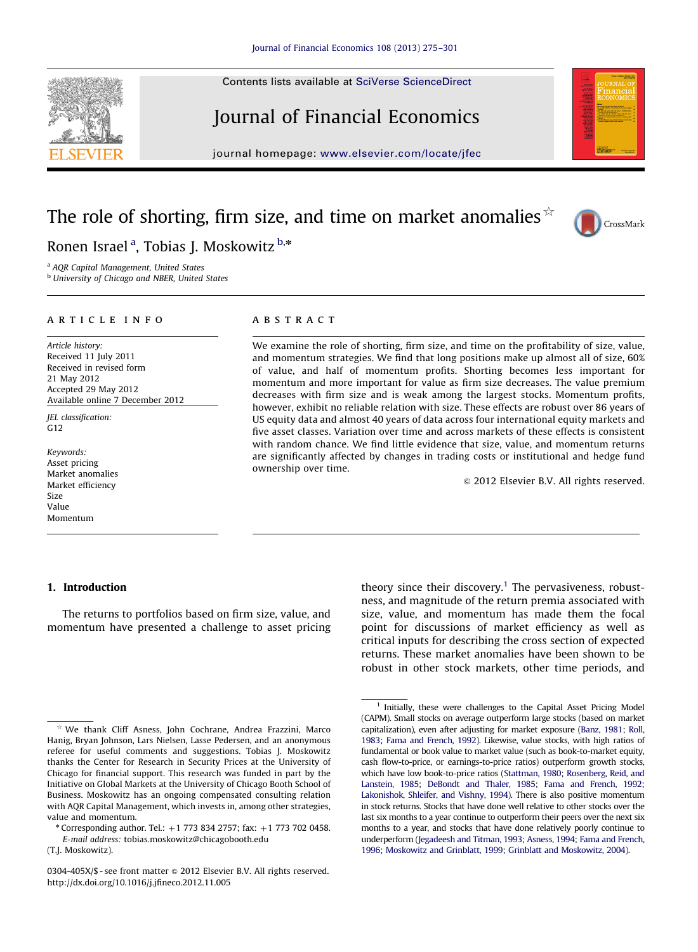Contents lists available at [SciVerse ScienceDirect](www.elsevier.com/locate/jfec)

### Journal of Financial Economics

journal homepage: <www.elsevier.com/locate/jfec>

# The role of shorting, firm size, and time on market anomalies  $\hat{B}$

Ronen Israel <sup>a</sup>, Tobias J. Moskowitz <sup>b,</sup>\*

<sup>a</sup> AQR Capital Management, United States **b University of Chicago and NBER, United States** 

#### article info

Article history: Received 11 July 2011 Received in revised form 21 May 2012 Accepted 29 May 2012 Available online 7 December 2012

JEL classification: G12

Keywords: Asset pricing Market anomalies Market efficiency Size Value Momentum

### **ABSTRACT**

We examine the role of shorting, firm size, and time on the profitability of size, value, and momentum strategies. We find that long positions make up almost all of size, 60% of value, and half of momentum profits. Shorting becomes less important for momentum and more important for value as firm size decreases. The value premium decreases with firm size and is weak among the largest stocks. Momentum profits, however, exhibit no reliable relation with size. These effects are robust over 86 years of US equity data and almost 40 years of data across four international equity markets and five asset classes. Variation over time and across markets of these effects is consistent with random chance. We find little evidence that size, value, and momentum returns are significantly affected by changes in trading costs or institutional and hedge fund ownership over time.

 $@$  2012 Elsevier B.V. All rights reserved.

### 1. Introduction

The returns to portfolios based on firm size, value, and momentum have presented a challenge to asset pricing

[\(T.J. Moskowitz\).](mailto:tobias.moskowitz@chicagobooth.edu)

theory since their discovery.<sup>1</sup> The pervasiveness, robustness, and magnitude of the return premia associated with size, value, and momentum has made them the focal point for discussions of market efficiency as well as critical inputs for describing the cross section of expected returns. These market anomalies have been shown to be robust in other stock markets, other time periods, and







 $*$  We thank Cliff Asness, John Cochrane, Andrea Frazzini, Marco Hanig, Bryan Johnson, Lars Nielsen, Lasse Pedersen, and an anonymous referee for useful comments and suggestions. Tobias J. Moskowitz thanks the Center for Research in Security Prices at the University of Chicago for financial support. This research was funded in part by the Initiative on Global Markets at the University of Chicago Booth School of Business. Moskowitz has an ongoing compensated consulting relation with AQR Capital Management, which invests in, among other strategies, value and momentum.

<sup>\*</sup> Corresponding author. Tel.:  $+1$  773 834 2757; fax:  $+1$  773 702 0458. E-mail address: [tobias.moskowitz@chicagobooth.edu](mailto:tobias.moskowitz@chicagobooth.edu)

<sup>0304-405</sup>X/\$ - see front matter  $\odot$  2012 Elsevier B.V. All rights reserved. <http://dx.doi.org/10.1016/j.jfineco.2012.11.005>

<sup>&</sup>lt;sup>1</sup> Initially, these were challenges to the Capital Asset Pricing Model (CAPM). Small stocks on average outperform large stocks (based on market capitalization), even after adjusting for market exposure [\(Banz, 1981;](#page--1-0) [Roll,](#page--1-0) [1983;](#page--1-0) [Fama and French, 1992\)](#page--1-0). Likewise, value stocks, with high ratios of fundamental or book value to market value (such as book-to-market equity, cash flow-to-price, or earnings-to-price ratios) outperform growth stocks, which have low book-to-price ratios [\(Stattman, 1980;](#page--1-0) [Rosenberg, Reid, and](#page--1-0) [Lanstein, 1985;](#page--1-0) [DeBondt and Thaler, 1985;](#page--1-0) [Fama and French, 1992;](#page--1-0) [Lakonishok, Shleifer, and Vishny, 1994](#page--1-0)). There is also positive momentum in stock returns. Stocks that have done well relative to other stocks over the last six months to a year continue to outperform their peers over the next six months to a year, and stocks that have done relatively poorly continue to underperform [\(Jegadeesh and Titman, 1993](#page--1-0); [Asness, 1994](#page--1-0); [Fama and French,](#page--1-0) [1996;](#page--1-0) [Moskowitz and Grinblatt, 1999](#page--1-0); [Grinblatt and Moskowitz, 2004\)](#page--1-0).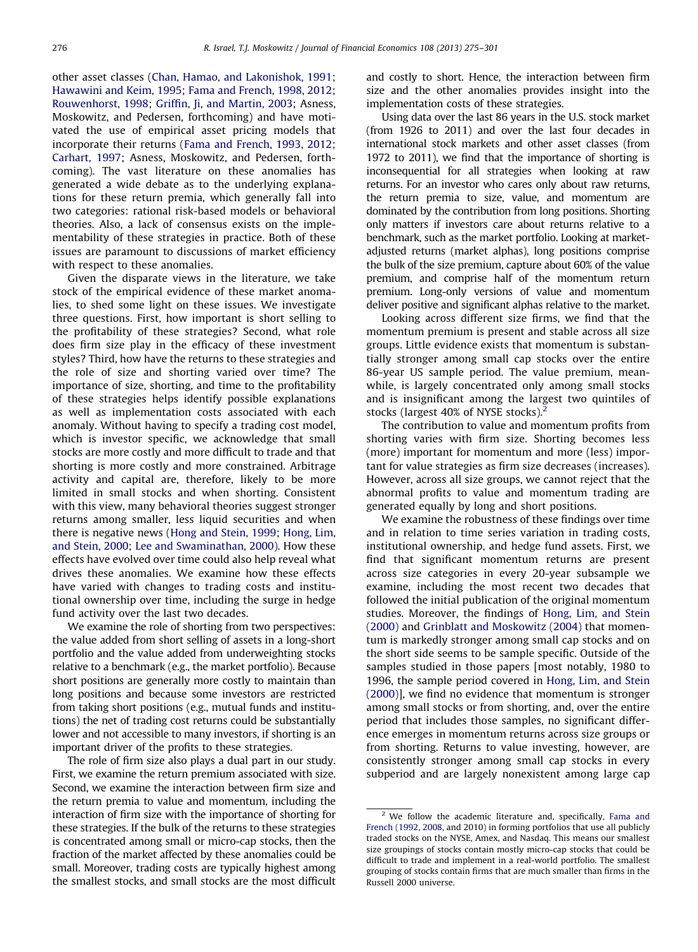other asset classes ([Chan, Hamao, and Lakonishok, 1991](#page--1-0); [Hawawini and Keim, 1995;](#page--1-0) [Fama and French, 1998,](#page--1-0) [2012](#page--1-0); [Rouwenhorst, 1998;](#page--1-0) [Griffin, Ji, and Martin, 2003](#page--1-0); Asness, Moskowitz, and Pedersen, forthcoming) and have motivated the use of empirical asset pricing models that incorporate their returns ([Fama and French, 1993,](#page--1-0) [2012](#page--1-0); [Carhart, 1997](#page--1-0); Asness, Moskowitz, and Pedersen, forthcoming). The vast literature on these anomalies has generated a wide debate as to the underlying explanations for these return premia, which generally fall into two categories: rational risk-based models or behavioral theories. Also, a lack of consensus exists on the implementability of these strategies in practice. Both of these issues are paramount to discussions of market efficiency with respect to these anomalies.

Given the disparate views in the literature, we take stock of the empirical evidence of these market anomalies, to shed some light on these issues. We investigate three questions. First, how important is short selling to the profitability of these strategies? Second, what role does firm size play in the efficacy of these investment styles? Third, how have the returns to these strategies and the role of size and shorting varied over time? The importance of size, shorting, and time to the profitability of these strategies helps identify possible explanations as well as implementation costs associated with each anomaly. Without having to specify a trading cost model, which is investor specific, we acknowledge that small stocks are more costly and more difficult to trade and that shorting is more costly and more constrained. Arbitrage activity and capital are, therefore, likely to be more limited in small stocks and when shorting. Consistent with this view, many behavioral theories suggest stronger returns among smaller, less liquid securities and when there is negative news ([Hong and Stein, 1999;](#page--1-0) [Hong, Lim,](#page--1-0) [and Stein, 2000](#page--1-0); [Lee and Swaminathan, 2000\)](#page--1-0). How these effects have evolved over time could also help reveal what drives these anomalies. We examine how these effects have varied with changes to trading costs and institutional ownership over time, including the surge in hedge fund activity over the last two decades.

We examine the role of shorting from two perspectives: the value added from short selling of assets in a long-short portfolio and the value added from underweighting stocks relative to a benchmark (e.g., the market portfolio). Because short positions are generally more costly to maintain than long positions and because some investors are restricted from taking short positions (e.g., mutual funds and institutions) the net of trading cost returns could be substantially lower and not accessible to many investors, if shorting is an important driver of the profits to these strategies.

The role of firm size also plays a dual part in our study. First, we examine the return premium associated with size. Second, we examine the interaction between firm size and the return premia to value and momentum, including the interaction of firm size with the importance of shorting for these strategies. If the bulk of the returns to these strategies is concentrated among small or micro-cap stocks, then the fraction of the market affected by these anomalies could be small. Moreover, trading costs are typically highest among the smallest stocks, and small stocks are the most difficult and costly to short. Hence, the interaction between firm size and the other anomalies provides insight into the implementation costs of these strategies.

Using data over the last 86 years in the U.S. stock market (from 1926 to 2011) and over the last four decades in international stock markets and other asset classes (from 1972 to 2011), we find that the importance of shorting is inconsequential for all strategies when looking at raw returns. For an investor who cares only about raw returns, the return premia to size, value, and momentum are dominated by the contribution from long positions. Shorting only matters if investors care about returns relative to a benchmark, such as the market portfolio. Looking at marketadjusted returns (market alphas), long positions comprise the bulk of the size premium, capture about 60% of the value premium, and comprise half of the momentum return premium. Long-only versions of value and momentum deliver positive and significant alphas relative to the market.

Looking across different size firms, we find that the momentum premium is present and stable across all size groups. Little evidence exists that momentum is substantially stronger among small cap stocks over the entire 86-year US sample period. The value premium, meanwhile, is largely concentrated only among small stocks and is insignificant among the largest two quintiles of stocks (largest 40% of NYSE stocks).<sup>2</sup>

The contribution to value and momentum profits from shorting varies with firm size. Shorting becomes less (more) important for momentum and more (less) important for value strategies as firm size decreases (increases). However, across all size groups, we cannot reject that the abnormal profits to value and momentum trading are generated equally by long and short positions.

We examine the robustness of these findings over time and in relation to time series variation in trading costs, institutional ownership, and hedge fund assets. First, we find that significant momentum returns are present across size categories in every 20-year subsample we examine, including the most recent two decades that followed the initial publication of the original momentum studies. Moreover, the findings of [Hong, Lim, and Stein](#page--1-0) [\(2000\)](#page--1-0) and [Grinblatt and Moskowitz \(2004\)](#page--1-0) that momentum is markedly stronger among small cap stocks and on the short side seems to be sample specific. Outside of the samples studied in those papers [most notably, 1980 to 1996, the sample period covered in [Hong, Lim, and Stein](#page--1-0) [\(2000\)](#page--1-0)], we find no evidence that momentum is stronger among small stocks or from shorting, and, over the entire period that includes those samples, no significant difference emerges in momentum returns across size groups or from shorting. Returns to value investing, however, are consistently stronger among small cap stocks in every subperiod and are largely nonexistent among large cap

 $2$  We follow the academic literature and, specifically, [Fama and](#page--1-0) [French \(1992](#page--1-0), [2008](#page--1-0), and 2010) in forming portfolios that use all publicly traded stocks on the NYSE, Amex, and Nasdaq. This means our smallest size groupings of stocks contain mostly micro-cap stocks that could be difficult to trade and implement in a real-world portfolio. The smallest grouping of stocks contain firms that are much smaller than firms in the Russell 2000 universe.